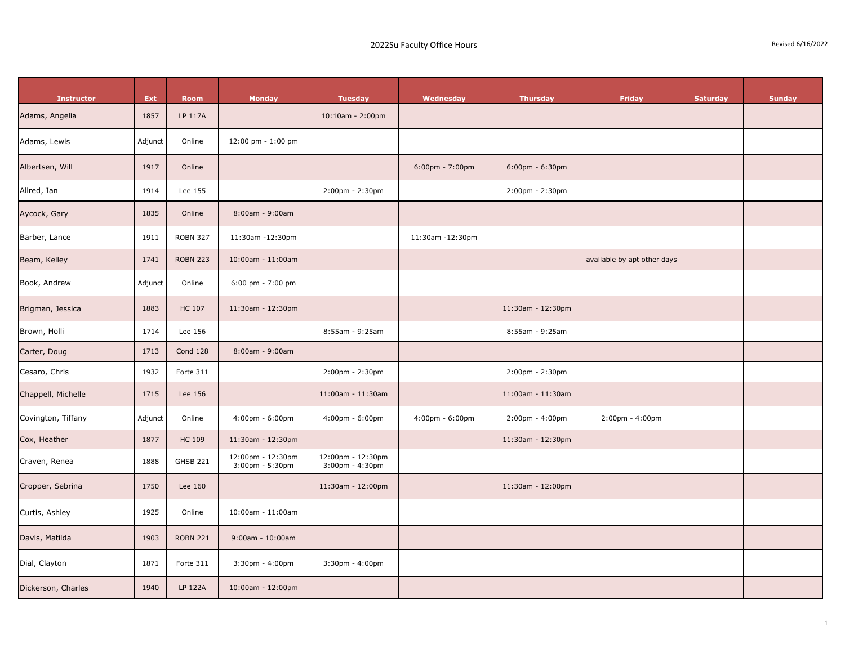| <b>Instructor</b>  | Ext     | <b>Room</b>     | <b>Monday</b>                              | <b>Tuesday</b>                             | Wednesday                         | <b>Thursday</b>       | Friday                      | <b>Saturday</b> | <b>Sunday</b> |
|--------------------|---------|-----------------|--------------------------------------------|--------------------------------------------|-----------------------------------|-----------------------|-----------------------------|-----------------|---------------|
| Adams, Angelia     | 1857    | LP 117A         |                                            | $10:10$ am - 2:00pm                        |                                   |                       |                             |                 |               |
| Adams, Lewis       | Adjunct | Online          | 12:00 pm - 1:00 pm                         |                                            |                                   |                       |                             |                 |               |
| Albertsen, Will    | 1917    | Online          |                                            |                                            | $6:00 \text{pm} - 7:00 \text{pm}$ | $6:00$ pm - $6:30$ pm |                             |                 |               |
| Allred, Ian        | 1914    | Lee 155         |                                            | 2:00pm - 2:30pm                            |                                   | 2:00pm - 2:30pm       |                             |                 |               |
| Aycock, Gary       | 1835    | Online          | 8:00am - 9:00am                            |                                            |                                   |                       |                             |                 |               |
| Barber, Lance      | 1911    | <b>ROBN 327</b> | 11:30am -12:30pm                           |                                            | 11:30am -12:30pm                  |                       |                             |                 |               |
| Beam, Kelley       | 1741    | <b>ROBN 223</b> | 10:00am - 11:00am                          |                                            |                                   |                       | available by apt other days |                 |               |
| Book, Andrew       | Adjunct | Online          | 6:00 pm - 7:00 pm                          |                                            |                                   |                       |                             |                 |               |
| Brigman, Jessica   | 1883    | <b>HC 107</b>   | 11:30am - 12:30pm                          |                                            |                                   | 11:30am - 12:30pm     |                             |                 |               |
| Brown, Holli       | 1714    | Lee 156         |                                            | 8:55am - 9:25am                            |                                   | 8:55am - 9:25am       |                             |                 |               |
| Carter, Doug       | 1713    | Cond 128        | 8:00am - 9:00am                            |                                            |                                   |                       |                             |                 |               |
| Cesaro, Chris      | 1932    | Forte 311       |                                            | 2:00pm - 2:30pm                            |                                   | $2:00$ pm - $2:30$ pm |                             |                 |               |
| Chappell, Michelle | 1715    | Lee 156         |                                            | 11:00am - 11:30am                          |                                   | 11:00am - 11:30am     |                             |                 |               |
| Covington, Tiffany | Adjunct | Online          | $4:00 \text{pm} - 6:00 \text{pm}$          | $4:00 \text{pm} - 6:00 \text{pm}$          | $4:00 \text{pm} - 6:00 \text{pm}$ | 2:00pm - 4:00pm       | $2:00$ pm - $4:00$ pm       |                 |               |
| Cox, Heather       | 1877    | <b>HC 109</b>   | 11:30am - 12:30pm                          |                                            |                                   | 11:30am - 12:30pm     |                             |                 |               |
| Craven, Renea      | 1888    | <b>GHSB 221</b> | 12:00pm - 12:30pm<br>$3:00$ pm - $5:30$ pm | 12:00pm - 12:30pm<br>$3:00$ pm - $4:30$ pm |                                   |                       |                             |                 |               |
| Cropper, Sebrina   | 1750    | Lee 160         |                                            | 11:30am - 12:00pm                          |                                   | 11:30am - 12:00pm     |                             |                 |               |
| Curtis, Ashley     | 1925    | Online          | 10:00am - 11:00am                          |                                            |                                   |                       |                             |                 |               |
| Davis, Matilda     | 1903    | <b>ROBN 221</b> | $9:00$ am - $10:00$ am                     |                                            |                                   |                       |                             |                 |               |
| Dial, Clayton      | 1871    | Forte 311       | 3:30pm - 4:00pm                            | 3:30pm - 4:00pm                            |                                   |                       |                             |                 |               |
| Dickerson, Charles | 1940    | <b>LP 122A</b>  | 10:00am - 12:00pm                          |                                            |                                   |                       |                             |                 |               |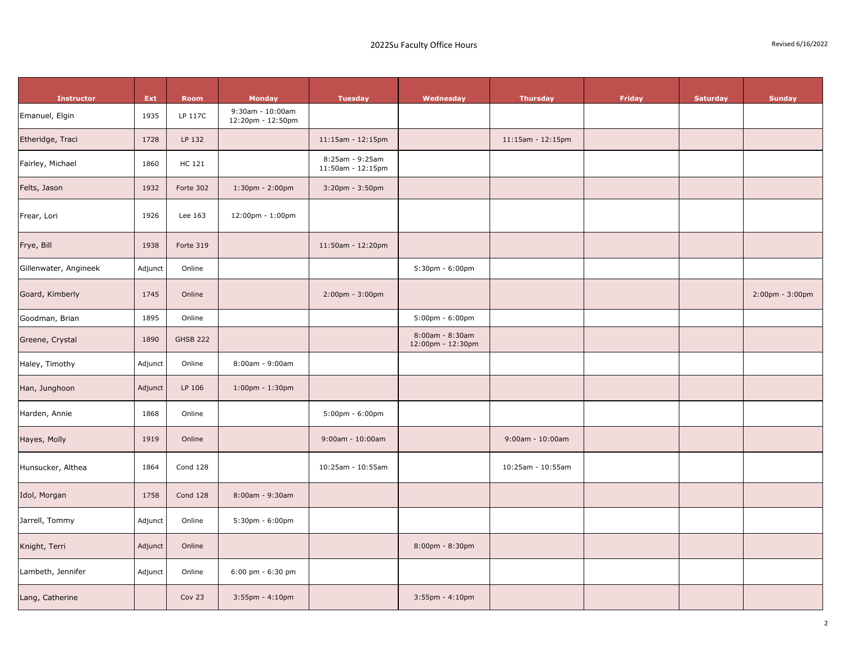| Revised 6/16/2022 |  |
|-------------------|--|
|-------------------|--|

| <b>Instructor</b>     | Ext     | <b>Room</b>     | <b>Monday</b>                         | <b>Tuesday</b>                       | Wednesday                            | <b>Thursday</b>        | Friday | <b>Saturday</b> | <b>Sunday</b>   |
|-----------------------|---------|-----------------|---------------------------------------|--------------------------------------|--------------------------------------|------------------------|--------|-----------------|-----------------|
| Emanuel, Elgin        | 1935    | LP 117C         | 9:30am - 10:00am<br>12:20pm - 12:50pm |                                      |                                      |                        |        |                 |                 |
| Etheridge, Traci      | 1728    | LP 132          |                                       | $11:15$ am - $12:15$ pm              |                                      | 11:15am - 12:15pm      |        |                 |                 |
| Fairley, Michael      | 1860    | HC 121          |                                       | 8:25am - 9:25am<br>11:50am - 12:15pm |                                      |                        |        |                 |                 |
| Felts, Jason          | 1932    | Forte 302       | $1:30$ pm - $2:00$ pm                 | 3:20pm - 3:50pm                      |                                      |                        |        |                 |                 |
| Frear, Lori           | 1926    | Lee 163         | 12:00pm - 1:00pm                      |                                      |                                      |                        |        |                 |                 |
| Frye, Bill            | 1938    | Forte 319       |                                       | 11:50am - 12:20pm                    |                                      |                        |        |                 |                 |
| Gillenwater, Angineek | Adjunct | Online          |                                       |                                      | 5:30pm - 6:00pm                      |                        |        |                 |                 |
| Goard, Kimberly       | 1745    | Online          |                                       | $2:00 \text{pm} - 3:00 \text{pm}$    |                                      |                        |        |                 | 2:00pm - 3:00pm |
| Goodman, Brian        | 1895    | Online          |                                       |                                      | $5:00$ pm - $6:00$ pm                |                        |        |                 |                 |
| Greene, Crystal       | 1890    | <b>GHSB 222</b> |                                       |                                      | 8:00am - 8:30am<br>12:00pm - 12:30pm |                        |        |                 |                 |
| Haley, Timothy        | Adjunct | Online          | 8:00am - 9:00am                       |                                      |                                      |                        |        |                 |                 |
| Han, Junghoon         | Adjunct | LP 106          | $1:00$ pm - $1:30$ pm                 |                                      |                                      |                        |        |                 |                 |
| Harden, Annie         | 1868    | Online          |                                       | $5:00 \text{pm} - 6:00 \text{pm}$    |                                      |                        |        |                 |                 |
| Hayes, Molly          | 1919    | Online          |                                       | $9:00$ am - $10:00$ am               |                                      | $9:00$ am - $10:00$ am |        |                 |                 |
| Hunsucker, Althea     | 1864    | Cond 128        |                                       | 10:25am - 10:55am                    |                                      | 10:25am - 10:55am      |        |                 |                 |
| Idol, Morgan          | 1758    | <b>Cond 128</b> | 8:00am - 9:30am                       |                                      |                                      |                        |        |                 |                 |
| Jarrell, Tommy        | Adjunct | Online          | 5:30pm - 6:00pm                       |                                      |                                      |                        |        |                 |                 |
| Knight, Terri         | Adjunct | Online          |                                       |                                      | 8:00pm - 8:30pm                      |                        |        |                 |                 |
| Lambeth, Jennifer     | Adjunct | Online          | 6:00 pm - 6:30 pm                     |                                      |                                      |                        |        |                 |                 |
| Lang, Catherine       |         | Cov 23          | $3:55$ pm - $4:10$ pm                 |                                      | $3:55$ pm - $4:10$ pm                |                        |        |                 |                 |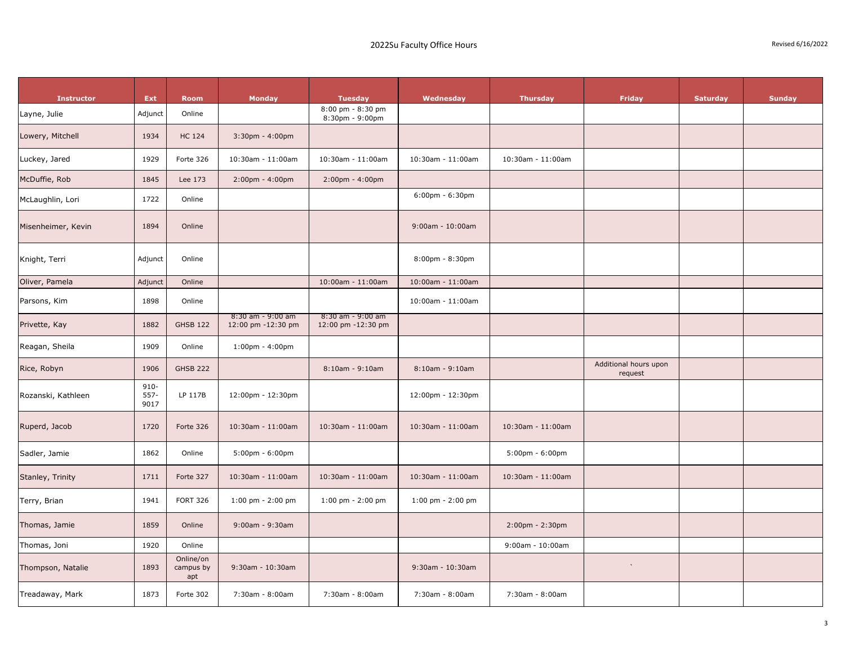| <b>Instructor</b><br>Layne, Julie | Ext<br>Adjunct          | <b>Room</b><br>Online         | <b>Monday</b>                             | <b>Tuesday</b><br>8:00 pm - 8:30 pm<br>8:30pm - 9:00pm | Wednesday              | <b>Thursday</b>                   | <b>Friday</b>                    | Saturday | <b>Sunday</b> |
|-----------------------------------|-------------------------|-------------------------------|-------------------------------------------|--------------------------------------------------------|------------------------|-----------------------------------|----------------------------------|----------|---------------|
| Lowery, Mitchell                  | 1934                    | <b>HC 124</b>                 | $3:30$ pm - $4:00$ pm                     |                                                        |                        |                                   |                                  |          |               |
| Luckey, Jared                     | 1929                    | Forte 326                     | 10:30am - 11:00am                         | 10:30am - 11:00am                                      | 10:30am - 11:00am      | 10:30am - 11:00am                 |                                  |          |               |
| McDuffie, Rob                     | 1845                    | Lee 173                       | $2:00$ pm - $4:00$ pm                     | $2:00$ pm - $4:00$ pm                                  |                        |                                   |                                  |          |               |
| McLaughlin, Lori                  | 1722                    | Online                        |                                           |                                                        | $6:00$ pm - $6:30$ pm  |                                   |                                  |          |               |
| Misenheimer, Kevin                | 1894                    | Online                        |                                           |                                                        | $9:00$ am - $10:00$ am |                                   |                                  |          |               |
| Knight, Terri                     | Adjunct                 | Online                        |                                           |                                                        | $8:00$ pm - $8:30$ pm  |                                   |                                  |          |               |
| Oliver, Pamela                    | Adjunct                 | Online                        |                                           | 10:00am - 11:00am                                      | 10:00am - 11:00am      |                                   |                                  |          |               |
| Parsons, Kim                      | 1898                    | Online                        |                                           |                                                        | 10:00am - 11:00am      |                                   |                                  |          |               |
| Privette, Kay                     | 1882                    | <b>GHSB 122</b>               | $8:30$ am - 9:00 am<br>12:00 pm -12:30 pm | 8:30 am - 9:00 am<br>12:00 pm -12:30 pm                |                        |                                   |                                  |          |               |
| Reagan, Sheila                    | 1909                    | Online                        | $1:00$ pm - $4:00$ pm                     |                                                        |                        |                                   |                                  |          |               |
| Rice, Robyn                       | 1906                    | <b>GHSB 222</b>               |                                           | $8:10am - 9:10am$                                      | $8:10$ am - 9:10am     |                                   | Additional hours upon<br>request |          |               |
| Rozanski, Kathleen                | $910 -$<br>557-<br>9017 | LP 117B                       | 12:00pm - 12:30pm                         |                                                        | 12:00pm - 12:30pm      |                                   |                                  |          |               |
| Ruperd, Jacob                     | 1720                    | Forte 326                     | 10:30am - 11:00am                         | 10:30am - 11:00am                                      | 10:30am - 11:00am      | 10:30am - 11:00am                 |                                  |          |               |
| Sadler, Jamie                     | 1862                    | Online                        | $5:00 \text{pm} - 6:00 \text{pm}$         |                                                        |                        | $5:00 \text{pm} - 6:00 \text{pm}$ |                                  |          |               |
| Stanley, Trinity                  | 1711                    | Forte 327                     | 10:30am - 11:00am                         | 10:30am - 11:00am                                      | 10:30am - 11:00am      | 10:30am - 11:00am                 |                                  |          |               |
| Terry, Brian                      | 1941                    | <b>FORT 326</b>               | $1:00$ pm - $2:00$ pm                     | $1:00$ pm - $2:00$ pm                                  | $1:00$ pm - $2:00$ pm  |                                   |                                  |          |               |
| Thomas, Jamie                     | 1859                    | Online                        | $9:00$ am - $9:30$ am                     |                                                        |                        | 2:00pm - 2:30pm                   |                                  |          |               |
| Thomas, Joni                      | 1920                    | Online                        |                                           |                                                        |                        | $9:00$ am - $10:00$ am            |                                  |          |               |
| Thompson, Natalie                 | 1893                    | Online/on<br>campus by<br>apt | 9:30am - 10:30am                          |                                                        | 9:30am - 10:30am       |                                   | $\mathbf{v}$                     |          |               |
| Treadaway, Mark                   | 1873                    | Forte 302                     | 7:30am - 8:00am                           | 7:30am - 8:00am                                        | 7:30am - 8:00am        | 7:30am - 8:00am                   |                                  |          |               |